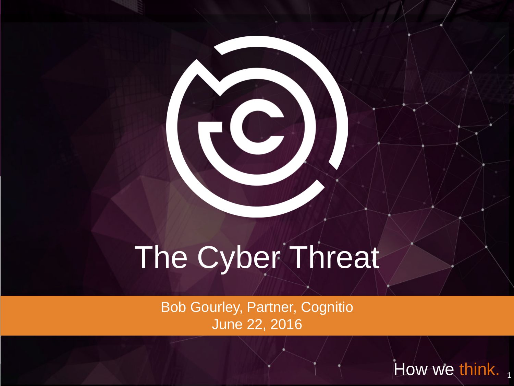## The Cyber Threat

Bob Gourley, Partner, Cognitio June 22, 2016

How we think.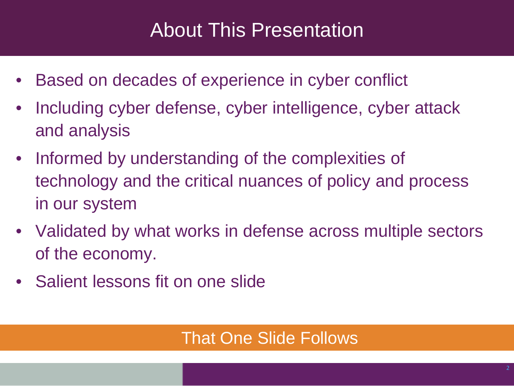### About This Presentation

- Based on decades of experience in cyber conflict
- Including cyber defense, cyber intelligence, cyber attack and analysis
- Informed by understanding of the complexities of technology and the critical nuances of policy and process in our system
- Validated by what works in defense across multiple sectors of the economy.
- Salient lessons fit on one slide

#### That One Slide Follows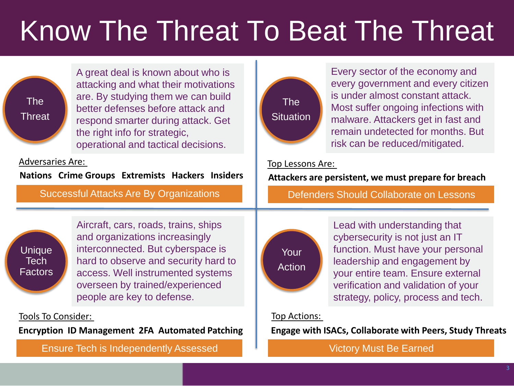## Know The Threat To Beat The Threat



A great deal is known about who is attacking and what their motivations are. By studying them we can build better defenses before attack and respond smarter during attack. Get the right info for strategic, operational and tactical decisions.

Adversaries Are:

**Nations Crime Groups Extremists Hackers Insiders**



Aircraft, cars, roads, trains, ships and organizations increasingly interconnected. But cyberspace is hard to observe and security hard to access. Well instrumented systems overseen by trained/experienced people are key to defense.

Tools To Consider:

**Encryption ID Management 2FA Automated Patching**

Ensure Tech is Independently Assessed Victory Must Be Earned



Every sector of the economy and every government and every citizen is under almost constant attack. Most suffer ongoing infections with malware. Attackers get in fast and remain undetected for months. But risk can be reduced/mitigated.

#### Top Lessons Are:

**Attackers are persistent, we must prepare for breach**

Successful Attacks Are By Organizations Defenders Should Collaborate on Lessons



Lead with understanding that cybersecurity is not just an IT function. Must have your personal leadership and engagement by your entire team. Ensure external verification and validation of your strategy, policy, process and tech.

#### Top Actions:

**Engage with ISACs, Collaborate with Peers, Study Threats**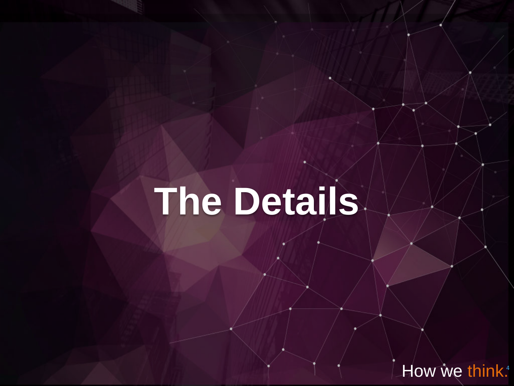# **The Details**

How we think.<sup>4</sup>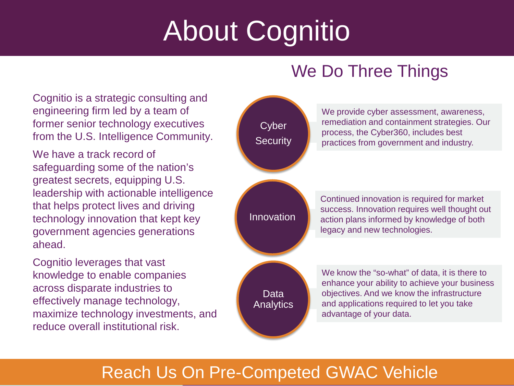## About Cognitio

Cognitio is a strategic consulting and engineering firm led by a team of former senior technology executives from the U.S. Intelligence Community.

We have a track record of safeguarding some of the nation's greatest secrets, equipping U.S. leadership with actionable intelligence that helps protect lives and driving technology innovation that kept key government agencies generations ahead.

Cognitio leverages that vast knowledge to enable companies across disparate industries to effectively manage technology, maximize technology investments, and reduce overall institutional risk.

#### We Do Three Things



#### Reach Us On Pre-Competed GWAC Vehicle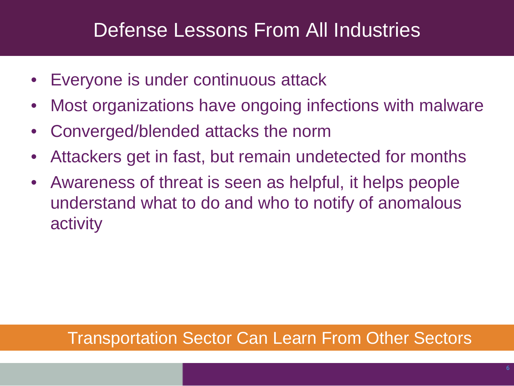### Defense Lessons From All Industries

- Everyone is under continuous attack
- Most organizations have ongoing infections with malware
- Converged/blended attacks the norm
- Attackers get in fast, but remain undetected for months
- Awareness of threat is seen as helpful, it helps people understand what to do and who to notify of anomalous activity

#### Transportation Sector Can Learn From Other Sectors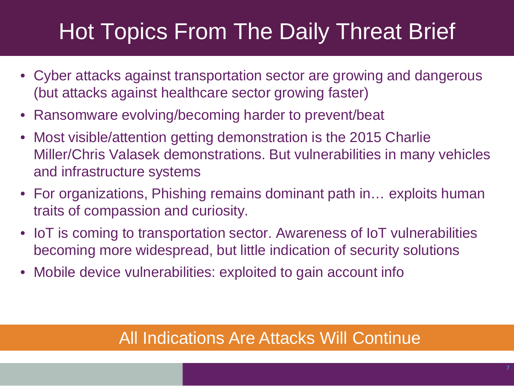### Hot Topics From The Daily Threat Brief

- Cyber attacks against transportation sector are growing and dangerous (but attacks against healthcare sector growing faster)
- Ransomware evolving/becoming harder to prevent/beat
- Most visible/attention getting demonstration is the 2015 Charlie Miller/Chris Valasek demonstrations. But vulnerabilities in many vehicles and infrastructure systems
- For organizations, Phishing remains dominant path in… exploits human traits of compassion and curiosity.
- IoT is coming to transportation sector. Awareness of IoT vulnerabilities becoming more widespread, but little indication of security solutions
- Mobile device vulnerabilities: exploited to gain account info

#### All Indications Are Attacks Will Continue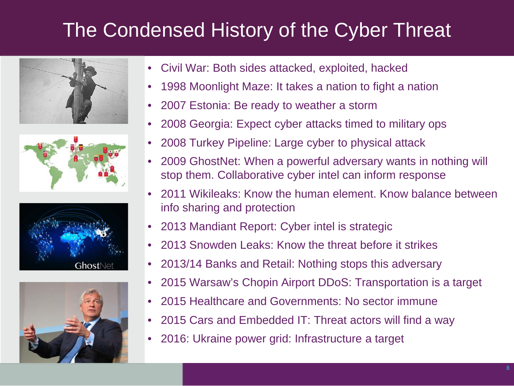### The Condensed History of the Cyber Threat









- Civil War: Both sides attacked, exploited, hacked
- 1998 Moonlight Maze: It takes a nation to fight a nation
- 2007 Estonia: Be ready to weather a storm
- 2008 Georgia: Expect cyber attacks timed to military ops
- 2008 Turkey Pipeline: Large cyber to physical attack
- 2009 GhostNet: When a powerful adversary wants in nothing will stop them. Collaborative cyber intel can inform response
- 2011 Wikileaks: Know the human element. Know balance between info sharing and protection
- 2013 Mandiant Report: Cyber intel is strategic
- 2013 Snowden Leaks: Know the threat before it strikes
- 2013/14 Banks and Retail: Nothing stops this adversary
- 2015 Warsaw's Chopin Airport DDoS: Transportation is a target
- 2015 Healthcare and Governments: No sector immune
- 2015 Cars and Embedded IT: Threat actors will find a way
- 2016: Ukraine power grid: Infrastructure a target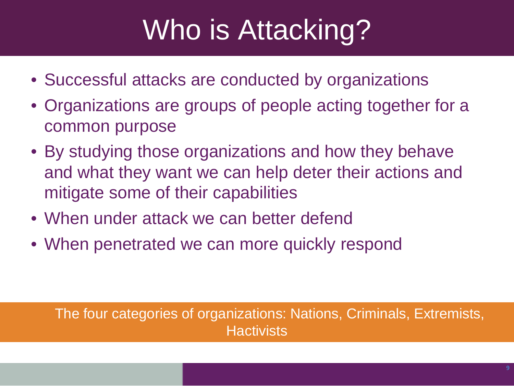## Who is Attacking?

- Successful attacks are conducted by organizations
- Organizations are groups of people acting together for a common purpose
- By studying those organizations and how they behave and what they want we can help deter their actions and mitigate some of their capabilities
- When under attack we can better defend
- When penetrated we can more quickly respond

The four categories of organizations: Nations, Criminals, Extremists, **Hactivists**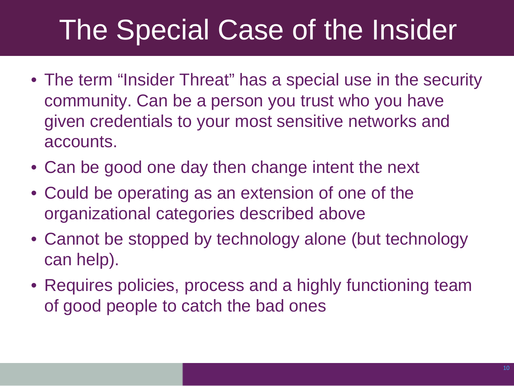### The Special Case of the Insider

- The term "Insider Threat" has a special use in the security community. Can be a person you trust who you have given credentials to your most sensitive networks and accounts.
- Can be good one day then change intent the next
- Could be operating as an extension of one of the organizational categories described above
- Cannot be stopped by technology alone (but technology can help).
- Requires policies, process and a highly functioning team of good people to catch the bad ones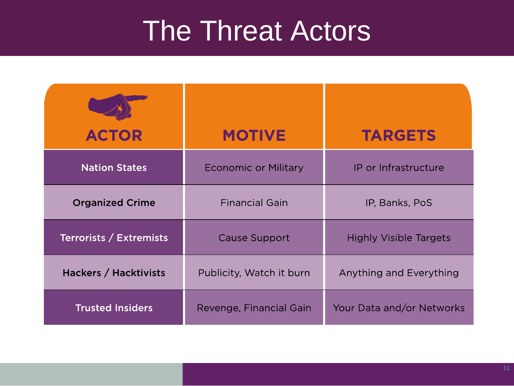### The Threat Actors

| <b>ACTOR</b>            | <b>MOTIVE</b>               | <b>TARGETS</b>                |
|-------------------------|-----------------------------|-------------------------------|
| <b>Nation States</b>    | <b>Economic or Military</b> | IP or Infrastructure          |
| <b>Organized Crime</b>  | <b>Financial Gain</b>       | IP, Banks, PoS                |
| Terrorists / Extremists | <b>Cause Support</b>        | <b>Highly Visible Targets</b> |
| Hackers / Hacktivists   | Publicity, Watch it burn    | Anything and Everything       |
| <b>Trusted Insiders</b> | Revenge, Financial Gain     | Your Data and/or Networks     |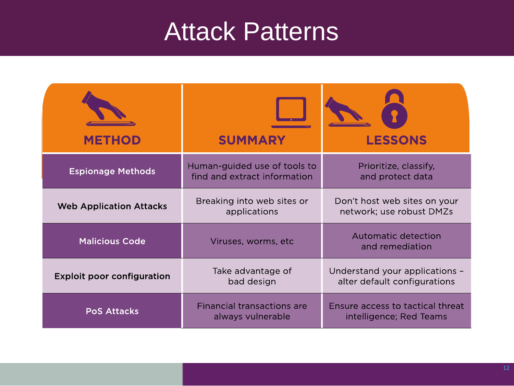### **Attack Patterns**

| <b>METHOD</b>                     | <b>SUMMARY</b>                                               | <b>LESSONS</b>                                                 |
|-----------------------------------|--------------------------------------------------------------|----------------------------------------------------------------|
| <b>Espionage Methods</b>          | Human-guided use of tools to<br>find and extract information | Prioritize, classify,<br>and protect data                      |
| <b>Web Application Attacks</b>    | Breaking into web sites or<br>applications                   | Don't host web sites on your<br>network; use robust DMZs       |
| <b>Malicious Code</b>             | Viruses, worms, etc                                          | Automatic detection<br>and remediation                         |
| <b>Exploit poor configuration</b> | Take advantage of<br>bad design                              | Understand your applications -<br>alter default configurations |
| <b>PoS Attacks</b>                | <b>Financial transactions are</b><br>always vulnerable       | Ensure access to tactical threat<br>intelligence; Red Teams    |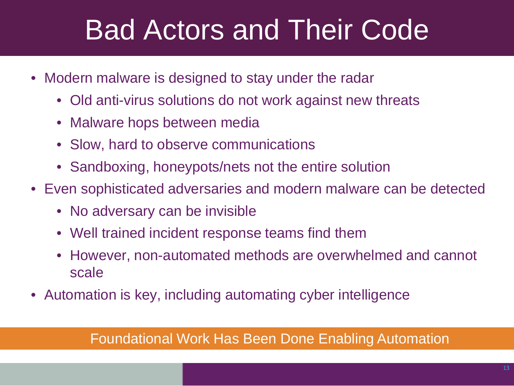### Bad Actors and Their Code

- Modern malware is designed to stay under the radar
	- Old anti-virus solutions do not work against new threats
	- Malware hops between media
	- Slow, hard to observe communications
	- Sandboxing, honeypots/nets not the entire solution
- Even sophisticated adversaries and modern malware can be detected
	- No adversary can be invisible
	- Well trained incident response teams find them
	- However, non-automated methods are overwhelmed and cannot scale
- Automation is key, including automating cyber intelligence

#### Foundational Work Has Been Done Enabling Automation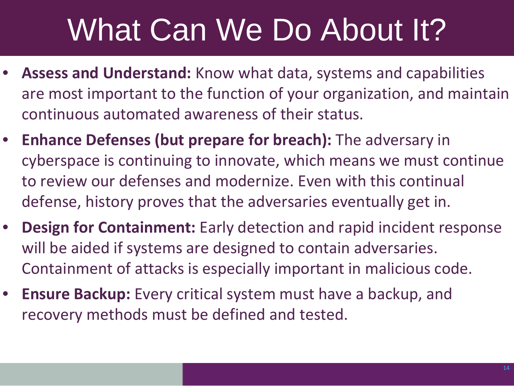## What Can We Do About It?

- **Assess and Understand:** Know what data, systems and capabilities are most important to the function of your organization, and maintain continuous automated awareness of their status.
- **Enhance Defenses (but prepare for breach):** The adversary in cyberspace is continuing to innovate, which means we must continue to review our defenses and modernize. Even with this continual defense, history proves that the adversaries eventually get in.
- **Design for Containment:** Early detection and rapid incident response will be aided if systems are designed to contain adversaries. Containment of attacks is especially important in malicious code.
- **Ensure Backup:** Every critical system must have a backup, and recovery methods must be defined and tested.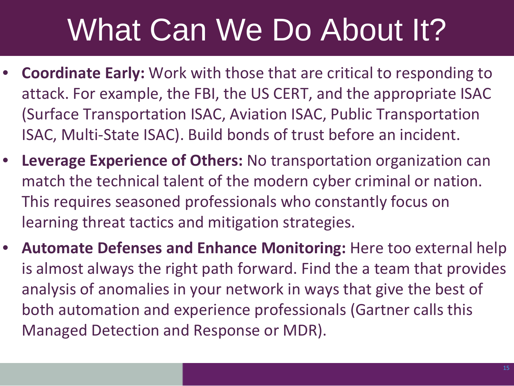## What Can We Do About It?

- **Coordinate Early:** Work with those that are critical to responding to attack. For example, the FBI, the US CERT, and the appropriate ISAC (Surface Transportation ISAC, Aviation ISAC, Public Transportation ISAC, Multi-State ISAC). Build bonds of trust before an incident.
- **Leverage Experience of Others:** No transportation organization can match the technical talent of the modern cyber criminal or nation. This requires seasoned professionals who constantly focus on learning threat tactics and mitigation strategies.
- **Automate Defenses and Enhance Monitoring:** Here too external help is almost always the right path forward. Find the a team that provides analysis of anomalies in your network in ways that give the best of both automation and experience professionals (Gartner calls this Managed Detection and Response or MDR).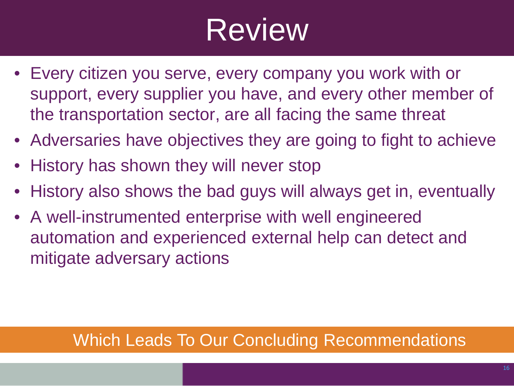## Review

- Every citizen you serve, every company you work with or support, every supplier you have, and every other member of the transportation sector, are all facing the same threat
- Adversaries have objectives they are going to fight to achieve
- History has shown they will never stop
- History also shows the bad guys will always get in, eventually
- A well-instrumented enterprise with well engineered automation and experienced external help can detect and mitigate adversary actions

#### Which Leads To Our Concluding Recommendations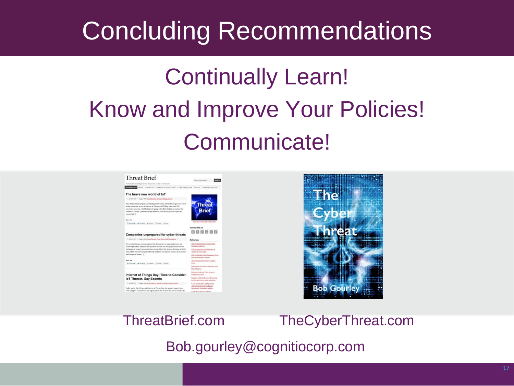### Concluding Recommendations

### Continually Learn! Know and Improve Your Policies! Communicate!



#### ThreatBrief.com TheCyberThreat.com

Bob.gourley@cognitiocorp.com